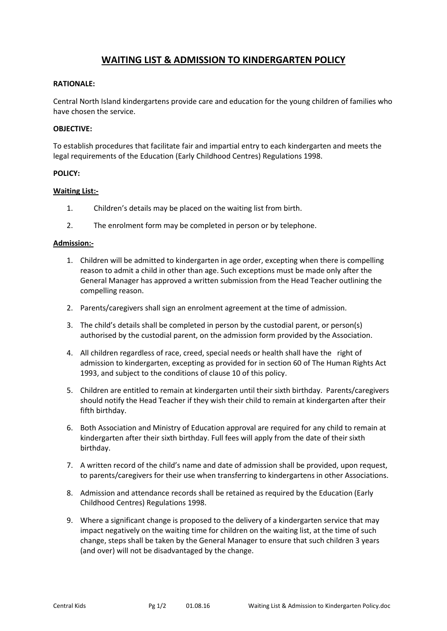# **WAITING LIST & ADMISSION TO KINDERGARTEN POLICY**

### **RATIONALE:**

Central North Island kindergartens provide care and education for the young children of families who have chosen the service.

### **OBJECTIVE:**

To establish procedures that facilitate fair and impartial entry to each kindergarten and meets the legal requirements of the Education (Early Childhood Centres) Regulations 1998.

#### **POLICY:**

#### **Waiting List:-**

- 1. Children's details may be placed on the waiting list from birth.
- 2. The enrolment form may be completed in person or by telephone.

#### **Admission:-**

- 1. Children will be admitted to kindergarten in age order, excepting when there is compelling reason to admit a child in other than age. Such exceptions must be made only after the General Manager has approved a written submission from the Head Teacher outlining the compelling reason.
- 2. Parents/caregivers shall sign an enrolment agreement at the time of admission.
- 3. The child's details shall be completed in person by the custodial parent, or person(s) authorised by the custodial parent, on the admission form provided by the Association.
- 4. All children regardless of race, creed, special needs or health shall have the right of admission to kindergarten, excepting as provided for in section 60 of The Human Rights Act 1993, and subject to the conditions of clause 10 of this policy.
- 5. Children are entitled to remain at kindergarten until their sixth birthday. Parents/caregivers should notify the Head Teacher if they wish their child to remain at kindergarten after their fifth birthday.
- 6. Both Association and Ministry of Education approval are required for any child to remain at kindergarten after their sixth birthday. Full fees will apply from the date of their sixth birthday.
- 7. A written record of the child's name and date of admission shall be provided, upon request, to parents/caregivers for their use when transferring to kindergartens in other Associations.
- 8. Admission and attendance records shall be retained as required by the Education (Early Childhood Centres) Regulations 1998.
- 9. Where a significant change is proposed to the delivery of a kindergarten service that may impact negatively on the waiting time for children on the waiting list, at the time of such change, steps shall be taken by the General Manager to ensure that such children 3 years (and over) will not be disadvantaged by the change.